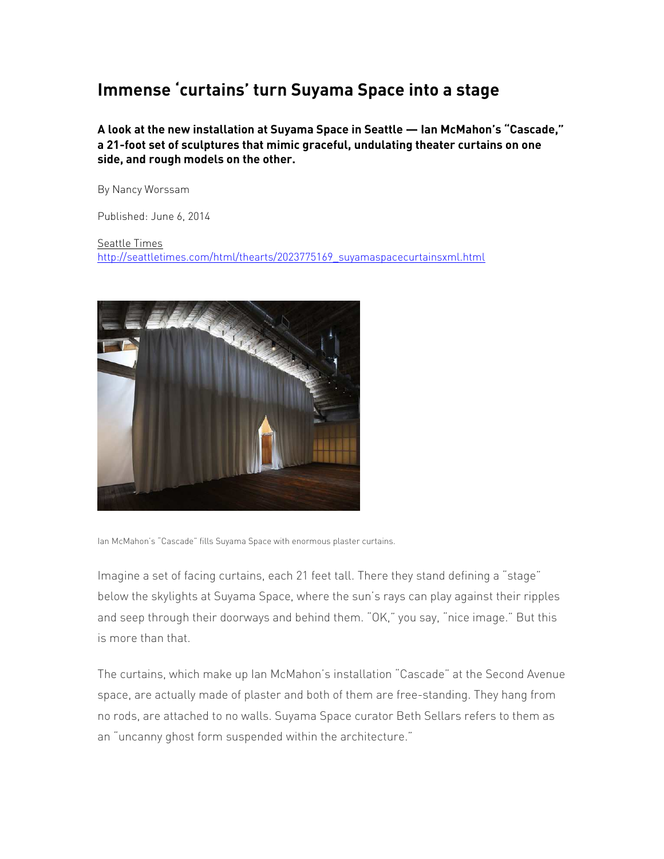## **Immense 'curtains' turn Suyama Space into a stage**

**A look at the new installation at Suyama Space in Seattle — Ian McMahon's "Cascade," a 21-foot set of sculptures that mimic graceful, undulating theater curtains on one side, and rough models on the other.** 

By Nancy Worssam

Published: June 6, 2014

Seattle Times http://seattletimes.com/html/thearts/2023775169\_suyamaspacecurtainsxml.html



Ian McMahon's "Cascade" fills Suyama Space with enormous plaster curtains.

Imagine a set of facing curtains, each 21 feet tall. There they stand defining a "stage" below the skylights at Suyama Space, where the sun's rays can play against their ripples and seep through their doorways and behind them. "OK," you say, "nice image." But this is more than that.

The curtains, which make up Ian McMahon's installation "Cascade" at the Second Avenue space, are actually made of plaster and both of them are free-standing. They hang from no rods, are attached to no walls. Suyama Space curator Beth Sellars refers to them as an "uncanny ghost form suspended within the architecture."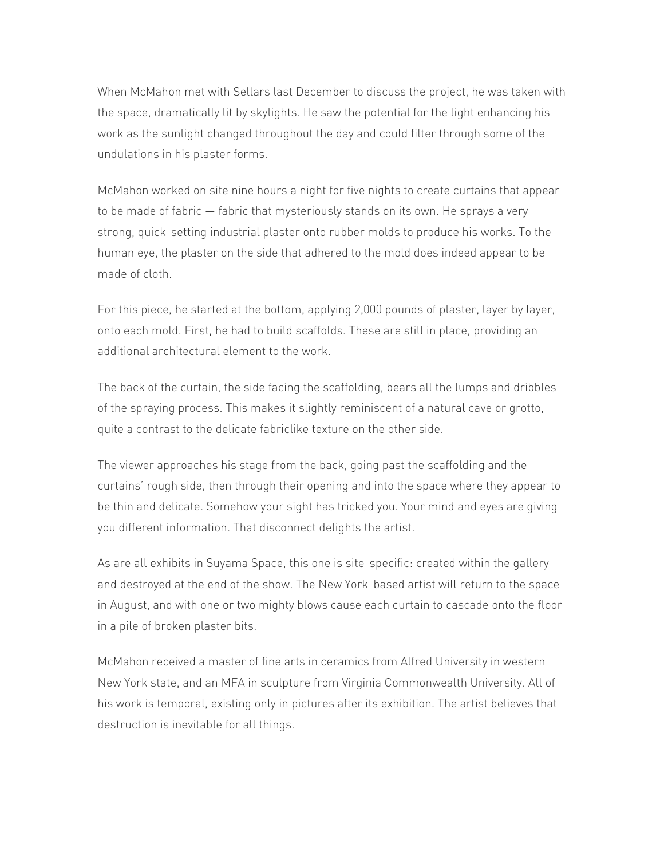When McMahon met with Sellars last December to discuss the project, he was taken with the space, dramatically lit by skylights. He saw the potential for the light enhancing his work as the sunlight changed throughout the day and could filter through some of the undulations in his plaster forms.

McMahon worked on site nine hours a night for five nights to create curtains that appear to be made of fabric — fabric that mysteriously stands on its own. He sprays a very strong, quick-setting industrial plaster onto rubber molds to produce his works. To the human eye, the plaster on the side that adhered to the mold does indeed appear to be made of cloth.

For this piece, he started at the bottom, applying 2,000 pounds of plaster, layer by layer, onto each mold. First, he had to build scaffolds. These are still in place, providing an additional architectural element to the work.

The back of the curtain, the side facing the scaffolding, bears all the lumps and dribbles of the spraying process. This makes it slightly reminiscent of a natural cave or grotto, quite a contrast to the delicate fabriclike texture on the other side.

The viewer approaches his stage from the back, going past the scaffolding and the curtains' rough side, then through their opening and into the space where they appear to be thin and delicate. Somehow your sight has tricked you. Your mind and eyes are giving you different information. That disconnect delights the artist.

As are all exhibits in Suyama Space, this one is site-specific: created within the gallery and destroyed at the end of the show. The New York-based artist will return to the space in August, and with one or two mighty blows cause each curtain to cascade onto the floor in a pile of broken plaster bits.

McMahon received a master of fine arts in ceramics from Alfred University in western New York state, and an MFA in sculpture from Virginia Commonwealth University. All of his work is temporal, existing only in pictures after its exhibition. The artist believes that destruction is inevitable for all things.